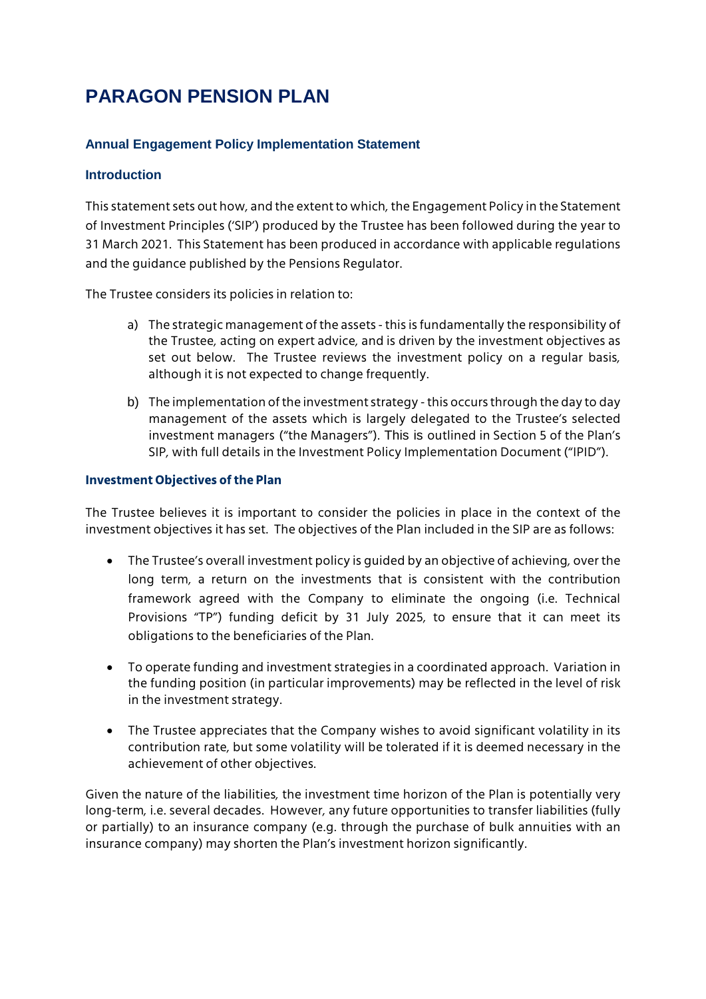# **PARAGON PENSION PLAN**

## **Annual Engagement Policy Implementation Statement**

#### **Introduction**

This statement sets out how, and the extent to which, the Engagement Policy in the Statement of Investment Principles ('SIP') produced by the Trustee has been followed during the year to 31 March 2021. This Statement has been produced in accordance with applicable regulations and the guidance published by the Pensions Regulator.

The Trustee considers its policies in relation to:

- a) The strategic management of the assets this is fundamentally the responsibility of the Trustee, acting on expert advice, and is driven by the investment objectives as set out below. The Trustee reviews the investment policy on a regular basis, although it is not expected to change frequently.
- b) The implementation of the investment strategy this occurs through the day to day management of the assets which is largely delegated to the Trustee's selected investment managers ("the Managers"). This is outlined in Section 5 of the Plan's SIP, with full details in the Investment Policy Implementation Document ("IPID").

#### **Investment Objectives of the Plan**

The Trustee believes it is important to consider the policies in place in the context of the investment objectives it has set. The objectives of the Plan included in the SIP are as follows:

- The Trustee's overall investment policy is guided by an objective of achieving, over the long term, a return on the investments that is consistent with the contribution framework agreed with the Company to eliminate the ongoing (i.e. Technical Provisions "TP") funding deficit by 31 July 2025, to ensure that it can meet its obligations to the beneficiaries of the Plan.
- To operate funding and investment strategies in a coordinated approach. Variation in the funding position (in particular improvements) may be reflected in the level of risk in the investment strategy.
- The Trustee appreciates that the Company wishes to avoid significant volatility in its contribution rate, but some volatility will be tolerated if it is deemed necessary in the achievement of other objectives.

Given the nature of the liabilities, the investment time horizon of the Plan is potentially very long-term, i.e. several decades. However, any future opportunities to transfer liabilities (fully or partially) to an insurance company (e.g. through the purchase of bulk annuities with an insurance company) may shorten the Plan's investment horizon significantly.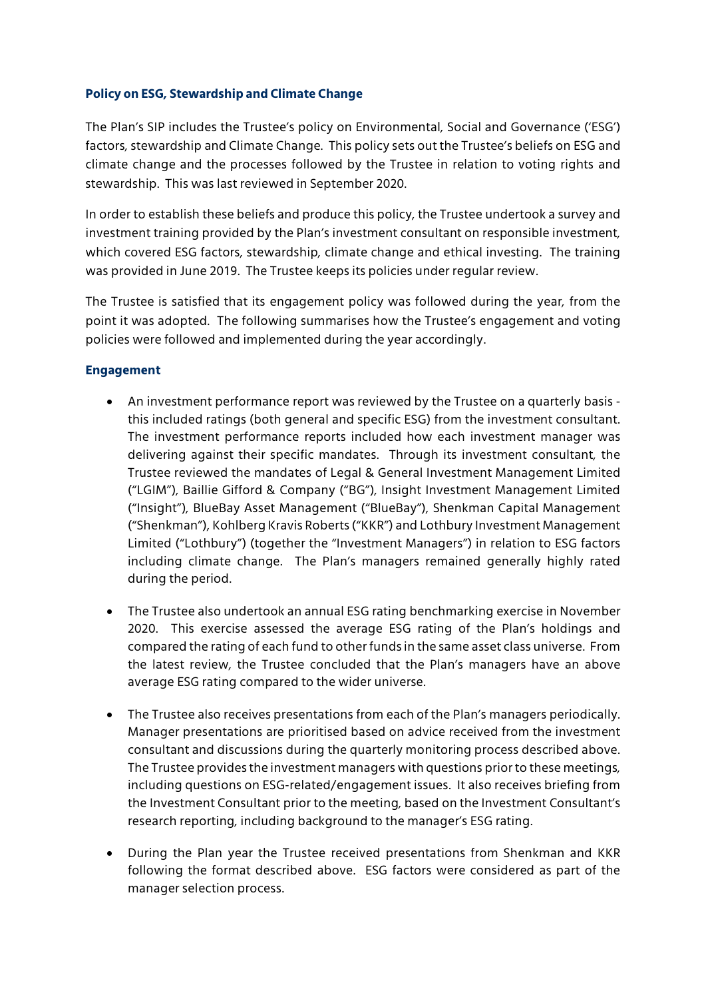### **Policy on ESG, Stewardship and Climate Change**

The Plan's SIP includes the Trustee's policy on Environmental, Social and Governance ('ESG') factors, stewardship and Climate Change. This policy sets out the Trustee's beliefs on ESG and climate change and the processes followed by the Trustee in relation to voting rights and stewardship. This was last reviewed in September 2020.

In order to establish these beliefs and produce this policy, the Trustee undertook a survey and investment training provided by the Plan's investment consultant on responsible investment, which covered ESG factors, stewardship, climate change and ethical investing. The training was provided in June 2019. The Trustee keeps its policies under regular review.

The Trustee is satisfied that its engagement policy was followed during the year, from the point it was adopted. The following summarises how the Trustee's engagement and voting policies were followed and implemented during the year accordingly.

### **Engagement**

- An investment performance report was reviewed by the Trustee on a quarterly basis this included ratings (both general and specific ESG) from the investment consultant. The investment performance reports included how each investment manager was delivering against their specific mandates. Through its investment consultant, the Trustee reviewed the mandates of Legal & General Investment Management Limited ("LGIM"), Baillie Gifford & Company ("BG"), Insight Investment Management Limited ("Insight"), BlueBay Asset Management ("BlueBay"), Shenkman Capital Management ("Shenkman"), Kohlberg Kravis Roberts ("KKR") and Lothbury Investment Management Limited ("Lothbury") (together the "Investment Managers") in relation to ESG factors including climate change. The Plan's managers remained generally highly rated during the period.
- The Trustee also undertook an annual ESG rating benchmarking exercise in November 2020. This exercise assessed the average ESG rating of the Plan's holdings and compared the rating of each fund to other funds in the same asset class universe. From the latest review, the Trustee concluded that the Plan's managers have an above average ESG rating compared to the wider universe.
- The Trustee also receives presentations from each of the Plan's managers periodically. Manager presentations are prioritised based on advice received from the investment consultant and discussions during the quarterly monitoring process described above. The Trustee provides the investment managers with questions prior to these meetings, including questions on ESG-related/engagement issues. It also receives briefing from the Investment Consultant prior to the meeting, based on the Investment Consultant's research reporting, including background to the manager's ESG rating.
- During the Plan year the Trustee received presentations from Shenkman and KKR following the format described above. ESG factors were considered as part of the manager selection process.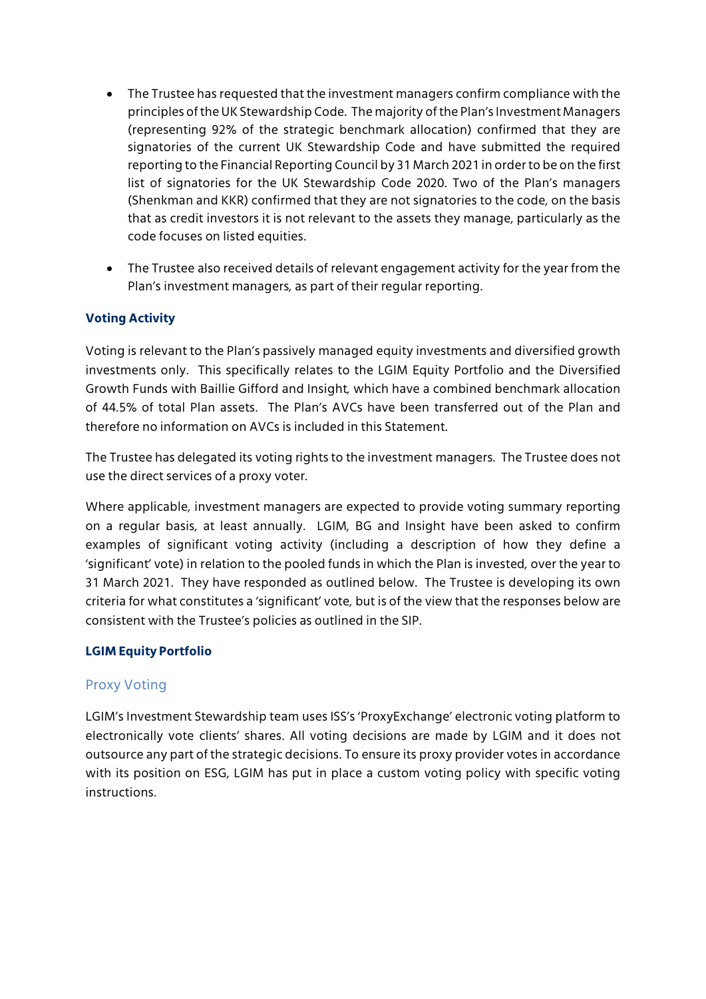- The Trustee has requested that the investment managers confirm compliance with the principles of the UK Stewardship Code. The majority of the Plan's Investment Managers (representing 92% of the strategic benchmark allocation) confirmed that they are signatories of the current UK Stewardship Code and have submitted the required reporting to the Financial Reporting Council by 31 March 2021 in order to be on the first list of signatories for the UK Stewardship Code 2020. Two of the Plan's managers (Shenkman and KKR) confirmed that they are not signatories to the code, on the basis that as credit investors it is not relevant to the assets they manage, particularly as the code focuses on listed equities.
- The Trustee also received details of relevant engagement activity for the year from the Plan's investment managers, as part of their regular reporting.

# **Voting Activity**

Voting is relevant to the Plan's passively managed equity investments and diversified growth investments only. This specifically relates to the LGIM Equity Portfolio and the Diversified Growth Funds with Baillie Gifford and Insight, which have a combined benchmark allocation of 44.5% of total Plan assets. The Plan's AVCs have been transferred out of the Plan and therefore no information on AVCs is included in this Statement.

The Trustee has delegated its voting rights to the investment managers. The Trustee does not use the direct services of a proxy voter.

Where applicable, investment managers are expected to provide voting summary reporting on a regular basis, at least annually. LGIM, BG and Insight have been asked to confirm examples of significant voting activity (including a description of how they define a 'significant' vote) in relation to the pooled funds in which the Plan is invested, over the year to 31 March 2021. They have responded as outlined below. The Trustee is developing its own criteria for what constitutes a 'significant' vote, but is of the view that the responses below are consistent with the Trustee's policies as outlined in the SIP.

## **LGIM Equity Portfolio**

## Proxy Voting

LGIM's Investment Stewardship team uses ISS's 'ProxyExchange' electronic voting platform to electronically vote clients' shares. All voting decisions are made by LGIM and it does not outsource any part of the strategic decisions. To ensure its proxy provider votes in accordance with its position on ESG, LGIM has put in place a custom voting policy with specific voting instructions.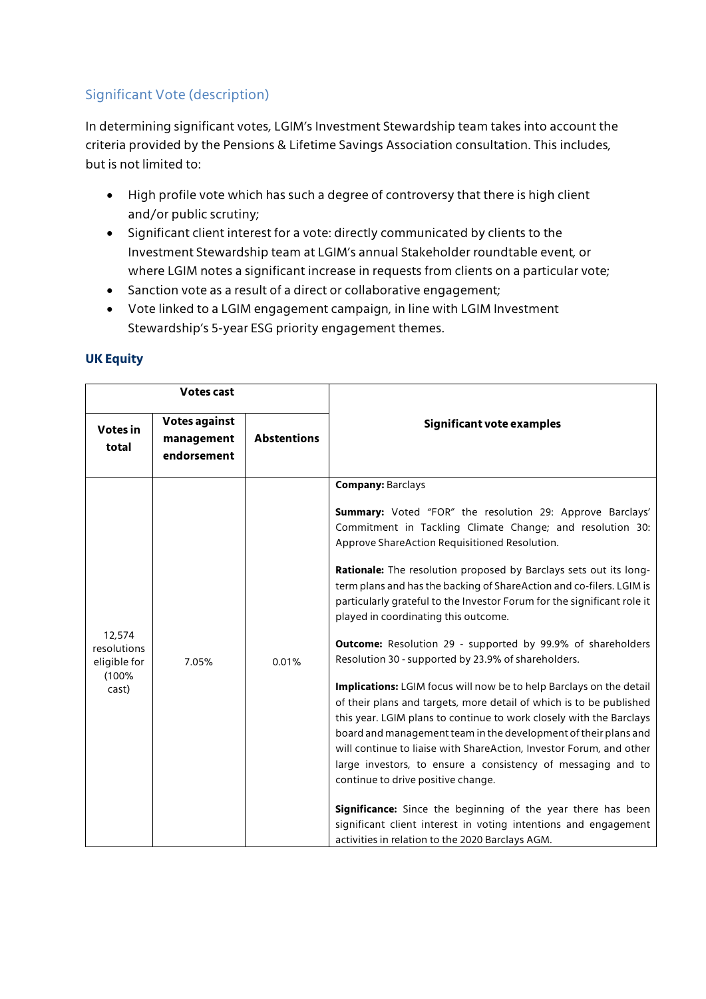# Significant Vote (description)

In determining significant votes, LGIM's Investment Stewardship team takes into account the criteria provided by the Pensions & Lifetime Savings Association consultation. This includes, but is not limited to:

- High profile vote which has such a degree of controversy that there is high client and/or public scrutiny;
- Significant client interest for a vote: directly communicated by clients to the Investment Stewardship team at LGIM's annual Stakeholder roundtable event, or where LGIM notes a significant increase in requests from clients on a particular vote;
- Sanction vote as a result of a direct or collaborative engagement;
- Vote linked to a LGIM engagement campaign, in line with LGIM Investment Stewardship's 5-year ESG priority engagement themes.

| <b>Votes cast</b>                                       |                                                   |                    |                                                                                                                                                                                                                                                                                                                                                                                                                                                                                                                                                                                                                                                                                                                                                                                                                                                                                                                                                                                                                                                                                                                                                                                                                                                                     |
|---------------------------------------------------------|---------------------------------------------------|--------------------|---------------------------------------------------------------------------------------------------------------------------------------------------------------------------------------------------------------------------------------------------------------------------------------------------------------------------------------------------------------------------------------------------------------------------------------------------------------------------------------------------------------------------------------------------------------------------------------------------------------------------------------------------------------------------------------------------------------------------------------------------------------------------------------------------------------------------------------------------------------------------------------------------------------------------------------------------------------------------------------------------------------------------------------------------------------------------------------------------------------------------------------------------------------------------------------------------------------------------------------------------------------------|
| Votes in<br>total                                       | <b>Votes against</b><br>management<br>endorsement | <b>Abstentions</b> | Significant vote examples                                                                                                                                                                                                                                                                                                                                                                                                                                                                                                                                                                                                                                                                                                                                                                                                                                                                                                                                                                                                                                                                                                                                                                                                                                           |
| 12,574<br>resolutions<br>eligible for<br>(100%<br>cast) | 7.05%                                             | 0.01%              | <b>Company: Barclays</b><br><b>Summary:</b> Voted "FOR" the resolution 29: Approve Barclays'<br>Commitment in Tackling Climate Change; and resolution 30:<br>Approve ShareAction Requisitioned Resolution.<br>Rationale: The resolution proposed by Barclays sets out its long-<br>term plans and has the backing of ShareAction and co-filers. LGIM is<br>particularly grateful to the Investor Forum for the significant role it<br>played in coordinating this outcome.<br><b>Outcome:</b> Resolution 29 - supported by 99.9% of shareholders<br>Resolution 30 - supported by 23.9% of shareholders.<br>Implications: LGIM focus will now be to help Barclays on the detail<br>of their plans and targets, more detail of which is to be published<br>this year. LGIM plans to continue to work closely with the Barclays<br>board and management team in the development of their plans and<br>will continue to liaise with ShareAction, Investor Forum, and other<br>large investors, to ensure a consistency of messaging and to<br>continue to drive positive change.<br>Significance: Since the beginning of the year there has been<br>significant client interest in voting intentions and engagement<br>activities in relation to the 2020 Barclays AGM. |

## **UK Equity**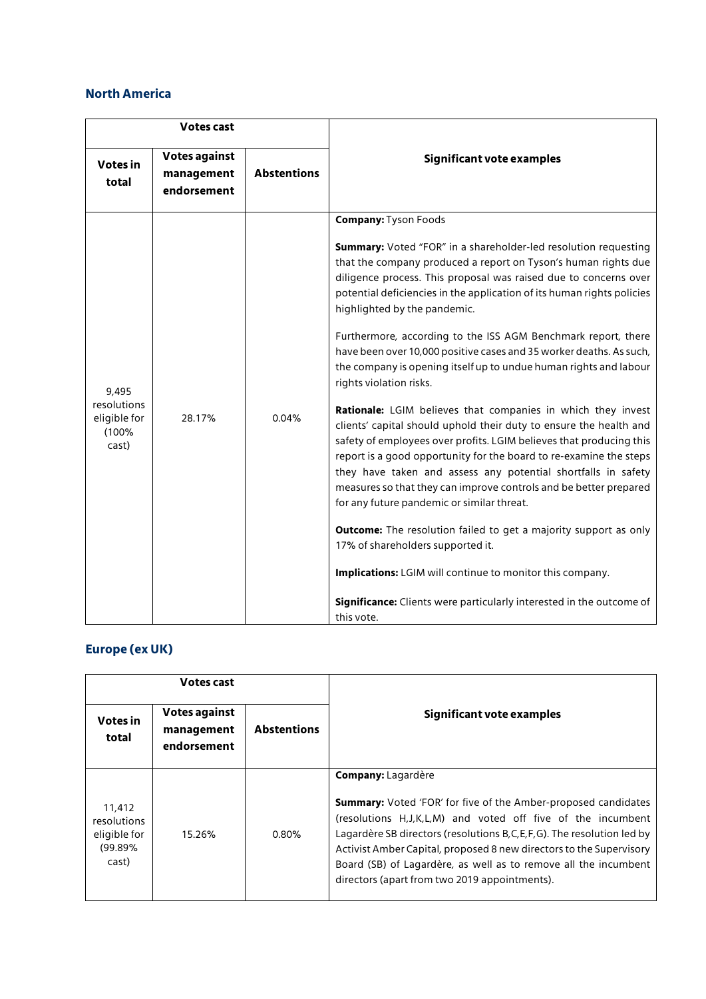### **North America**

| <b>Votes cast</b>                                      |                                                   |                    |                                                                                                                                                                                                                                                                                                                                                                                                                                                                                                                                                                                                                                                                                                                                                                                                                                                                                                                                                                                                                                                                                                                                                                                                                                                                                                                                                |
|--------------------------------------------------------|---------------------------------------------------|--------------------|------------------------------------------------------------------------------------------------------------------------------------------------------------------------------------------------------------------------------------------------------------------------------------------------------------------------------------------------------------------------------------------------------------------------------------------------------------------------------------------------------------------------------------------------------------------------------------------------------------------------------------------------------------------------------------------------------------------------------------------------------------------------------------------------------------------------------------------------------------------------------------------------------------------------------------------------------------------------------------------------------------------------------------------------------------------------------------------------------------------------------------------------------------------------------------------------------------------------------------------------------------------------------------------------------------------------------------------------|
| <b>Votes in</b><br>total                               | <b>Votes against</b><br>management<br>endorsement | <b>Abstentions</b> | Significant vote examples                                                                                                                                                                                                                                                                                                                                                                                                                                                                                                                                                                                                                                                                                                                                                                                                                                                                                                                                                                                                                                                                                                                                                                                                                                                                                                                      |
| 9,495<br>resolutions<br>eligible for<br>(100%<br>cast) | 28.17%                                            | 0.04%              | <b>Company: Tyson Foods</b><br><b>Summary:</b> Voted "FOR" in a shareholder-led resolution requesting<br>that the company produced a report on Tyson's human rights due<br>diligence process. This proposal was raised due to concerns over<br>potential deficiencies in the application of its human rights policies<br>highlighted by the pandemic.<br>Furthermore, according to the ISS AGM Benchmark report, there<br>have been over 10,000 positive cases and 35 worker deaths. As such,<br>the company is opening itself up to undue human rights and labour<br>rights violation risks.<br>Rationale: LGIM believes that companies in which they invest<br>clients' capital should uphold their duty to ensure the health and<br>safety of employees over profits. LGIM believes that producing this<br>report is a good opportunity for the board to re-examine the steps<br>they have taken and assess any potential shortfalls in safety<br>measures so that they can improve controls and be better prepared<br>for any future pandemic or similar threat.<br><b>Outcome:</b> The resolution failed to get a majority support as only<br>17% of shareholders supported it.<br>Implications: LGIM will continue to monitor this company.<br><b>Significance:</b> Clients were particularly interested in the outcome of<br>this vote. |

# **Europe (ex UK)**

| Votes cast                                                |                                                   |                    |                                                                                                                                                                                                                                                                                                                                                                                                                                           |
|-----------------------------------------------------------|---------------------------------------------------|--------------------|-------------------------------------------------------------------------------------------------------------------------------------------------------------------------------------------------------------------------------------------------------------------------------------------------------------------------------------------------------------------------------------------------------------------------------------------|
| Votes in<br>total                                         | <b>Votes against</b><br>management<br>endorsement | <b>Abstentions</b> | Significant vote examples                                                                                                                                                                                                                                                                                                                                                                                                                 |
| 11,412<br>resolutions<br>eligible for<br>(99.89%<br>cast) | 15.26%                                            | 0.80%              | <b>Company: Lagardère</b><br><b>Summary:</b> Voted 'FOR' for five of the Amber-proposed candidates<br>(resolutions H.J.K.L.M) and voted off five of the incumbent<br>Lagardère SB directors (resolutions B, C, E, F, G). The resolution led by<br>Activist Amber Capital, proposed 8 new directors to the Supervisory<br>Board (SB) of Lagardère, as well as to remove all the incumbent<br>directors (apart from two 2019 appointments). |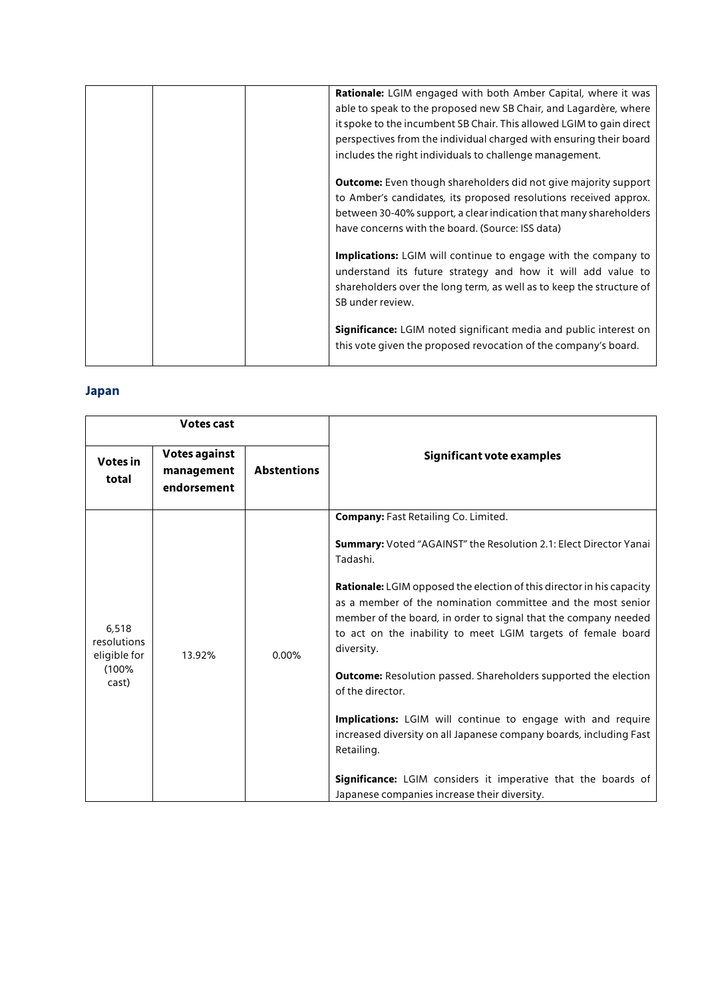| Rationale: LGIM engaged with both Amber Capital, where it was            |
|--------------------------------------------------------------------------|
| able to speak to the proposed new SB Chair, and Lagardère, where         |
| it spoke to the incumbent SB Chair. This allowed LGIM to gain direct     |
| perspectives from the individual charged with ensuring their board       |
| includes the right individuals to challenge management.                  |
| <b>Outcome:</b> Even though shareholders did not give majority support   |
| to Amber's candidates, its proposed resolutions received approx.         |
| between 30-40% support, a clear indication that many shareholders        |
| have concerns with the board. (Source: ISS data)                         |
| Implications: LGIM will continue to engage with the company to           |
| understand its future strategy and how it will add value to              |
| shareholders over the long term, as well as to keep the structure of     |
| SB under review.                                                         |
|                                                                          |
| <b>Significance:</b> LGIM noted significant media and public interest on |
| this vote given the proposed revocation of the company's board.          |
|                                                                          |

# **Japan**

| <b>Votes cast</b>                                      |                                            |                    |                                                                                                                                                                                                                                                                                              |
|--------------------------------------------------------|--------------------------------------------|--------------------|----------------------------------------------------------------------------------------------------------------------------------------------------------------------------------------------------------------------------------------------------------------------------------------------|
| Votes in<br>total                                      | Votes against<br>management<br>endorsement | <b>Abstentions</b> | Significant vote examples                                                                                                                                                                                                                                                                    |
|                                                        |                                            |                    | <b>Company: Fast Retailing Co. Limited.</b>                                                                                                                                                                                                                                                  |
|                                                        | 13.92%                                     | 0.00%              | <b>Summary:</b> Voted "AGAINST" the Resolution 2.1: Elect Director Yanai<br>Tadashi.                                                                                                                                                                                                         |
| 6,518<br>resolutions<br>eligible for<br>(100%<br>cast) |                                            |                    | <b>Rationale:</b> LGIM opposed the election of this director in his capacity<br>as a member of the nomination committee and the most senior<br>member of the board, in order to signal that the company needed<br>to act on the inability to meet LGIM targets of female board<br>diversity. |
|                                                        |                                            |                    | <b>Outcome:</b> Resolution passed. Shareholders supported the election<br>of the director.                                                                                                                                                                                                   |
|                                                        |                                            |                    | <b>Implications:</b> LGIM will continue to engage with and require<br>increased diversity on all Japanese company boards, including Fast<br>Retailing.                                                                                                                                       |
|                                                        |                                            |                    | Significance: LGIM considers it imperative that the boards of<br>Japanese companies increase their diversity.                                                                                                                                                                                |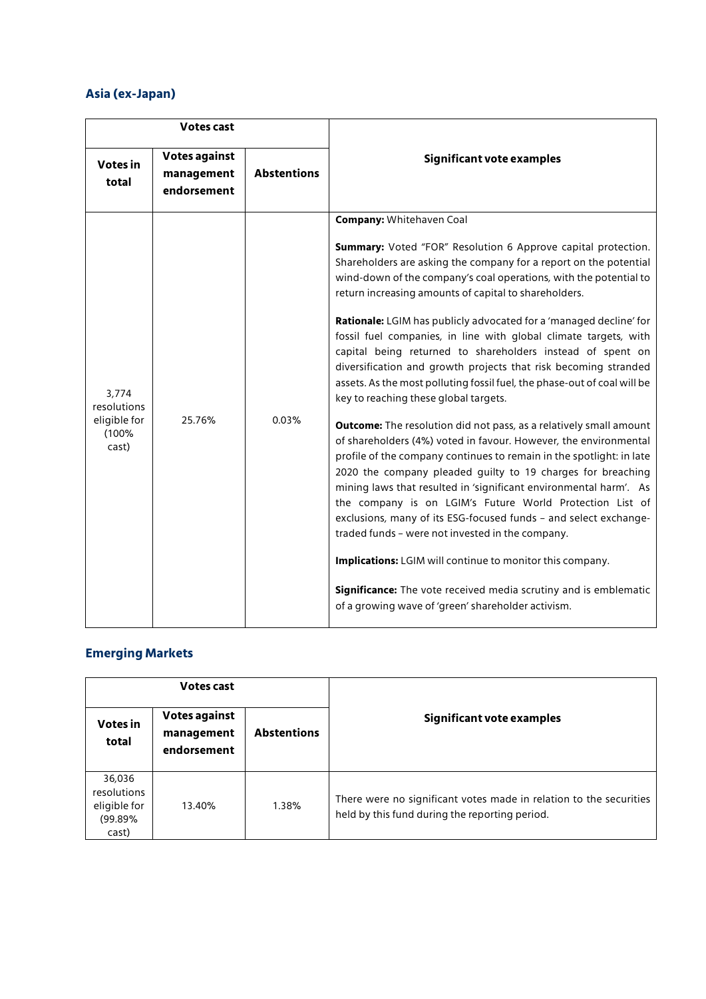# **Asia (ex-Japan)**

| <b>Votes cast</b>                                      |                                                   |                    |                                                                                                                                                                                                                                                                                                                                                                                                                                                                                                                                                                                                                                                                                                                                                                                                                                                                                                                                                                                                                                                                                                                                                                                                                                                                                                                                                                                                                                                    |
|--------------------------------------------------------|---------------------------------------------------|--------------------|----------------------------------------------------------------------------------------------------------------------------------------------------------------------------------------------------------------------------------------------------------------------------------------------------------------------------------------------------------------------------------------------------------------------------------------------------------------------------------------------------------------------------------------------------------------------------------------------------------------------------------------------------------------------------------------------------------------------------------------------------------------------------------------------------------------------------------------------------------------------------------------------------------------------------------------------------------------------------------------------------------------------------------------------------------------------------------------------------------------------------------------------------------------------------------------------------------------------------------------------------------------------------------------------------------------------------------------------------------------------------------------------------------------------------------------------------|
| <b>Votes in</b><br>total                               | <b>Votes against</b><br>management<br>endorsement | <b>Abstentions</b> | Significant vote examples                                                                                                                                                                                                                                                                                                                                                                                                                                                                                                                                                                                                                                                                                                                                                                                                                                                                                                                                                                                                                                                                                                                                                                                                                                                                                                                                                                                                                          |
| 3,774<br>resolutions<br>eligible for<br>(100%<br>cast) | 25.76%                                            | 0.03%              | <b>Company: Whitehaven Coal</b><br><b>Summary:</b> Voted "FOR" Resolution 6 Approve capital protection.<br>Shareholders are asking the company for a report on the potential<br>wind-down of the company's coal operations, with the potential to<br>return increasing amounts of capital to shareholders.<br>Rationale: LGIM has publicly advocated for a 'managed decline' for<br>fossil fuel companies, in line with global climate targets, with<br>capital being returned to shareholders instead of spent on<br>diversification and growth projects that risk becoming stranded<br>assets. As the most polluting fossil fuel, the phase-out of coal will be<br>key to reaching these global targets.<br><b>Outcome:</b> The resolution did not pass, as a relatively small amount<br>of shareholders (4%) voted in favour. However, the environmental<br>profile of the company continues to remain in the spotlight: in late<br>2020 the company pleaded guilty to 19 charges for breaching<br>mining laws that resulted in 'significant environmental harm'. As<br>the company is on LGIM's Future World Protection List of<br>exclusions, many of its ESG-focused funds - and select exchange-<br>traded funds - were not invested in the company.<br>Implications: LGIM will continue to monitor this company.<br>Significance: The vote received media scrutiny and is emblematic<br>of a growing wave of 'green' shareholder activism. |

# **Emerging Markets**

| Votes cast                                                |                                                   |                    |                                                                                                                      |
|-----------------------------------------------------------|---------------------------------------------------|--------------------|----------------------------------------------------------------------------------------------------------------------|
| Votes in<br>total                                         | <b>Votes against</b><br>management<br>endorsement | <b>Abstentions</b> | Significant vote examples                                                                                            |
| 36,036<br>resolutions<br>eligible for<br>(99.89%<br>cast) | 13.40%                                            | 1.38%              | There were no significant votes made in relation to the securities<br>held by this fund during the reporting period. |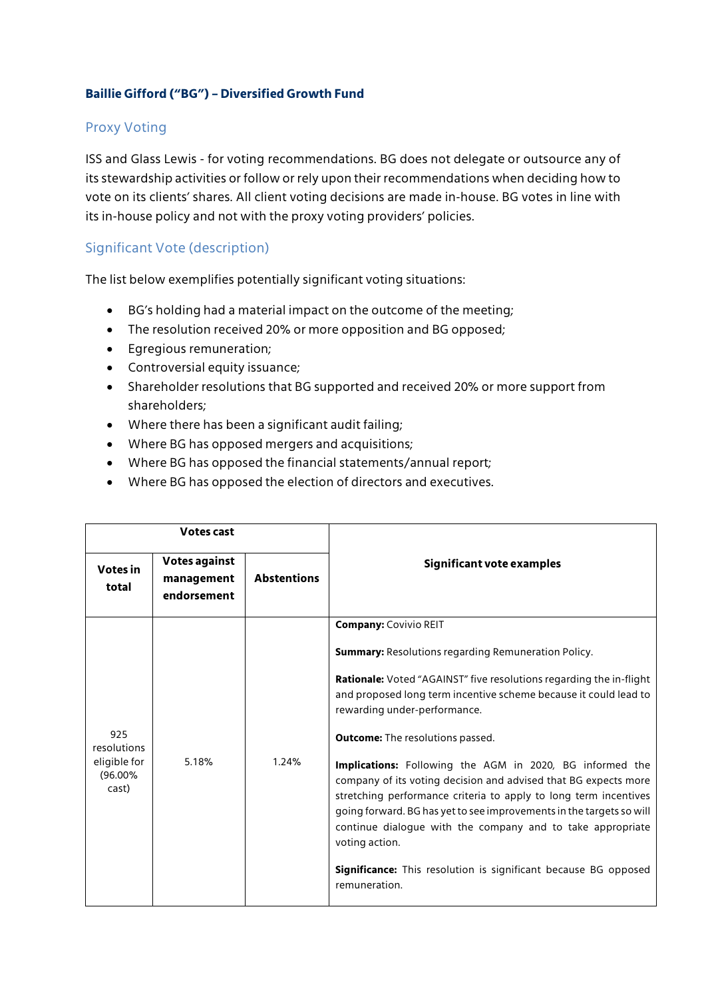## **Baillie Gifford ("BG") – Diversified Growth Fund**

## Proxy Voting

ISS and Glass Lewis - for voting recommendations. BG does not delegate or outsource any of its stewardship activities or follow or rely upon their recommendations when deciding how to vote on its clients' shares. All client voting decisions are made in-house. BG votes in line with its in-house policy and not with the proxy voting providers' policies.

## Significant Vote (description)

The list below exemplifies potentially significant voting situations:

- BG's holding had a material impact on the outcome of the meeting;
- The resolution received 20% or more opposition and BG opposed;
- Egregious remuneration;
- Controversial equity issuance;
- Shareholder resolutions that BG supported and received 20% or more support from shareholders;
- Where there has been a significant audit failing;
- Where BG has opposed mergers and acquisitions;
- Where BG has opposed the financial statements/annual report;
- Where BG has opposed the election of directors and executives.

| <b>Votes cast</b>                                         |                                                   |                    |                                                                                                                                                                                                                                                                                                                                                                                                                                                                                                                                                                                                                                                                                                                                                                               |
|-----------------------------------------------------------|---------------------------------------------------|--------------------|-------------------------------------------------------------------------------------------------------------------------------------------------------------------------------------------------------------------------------------------------------------------------------------------------------------------------------------------------------------------------------------------------------------------------------------------------------------------------------------------------------------------------------------------------------------------------------------------------------------------------------------------------------------------------------------------------------------------------------------------------------------------------------|
| <b>Votes in</b><br>total                                  | <b>Votes against</b><br>management<br>endorsement | <b>Abstentions</b> | Significant vote examples                                                                                                                                                                                                                                                                                                                                                                                                                                                                                                                                                                                                                                                                                                                                                     |
| 925<br>resolutions<br>eligible for<br>$(96.00\%$<br>cast) | 5.18%                                             | 1.24%              | <b>Company: Covivio REIT</b><br><b>Summary:</b> Resolutions regarding Remuneration Policy.<br><b>Rationale:</b> Voted "AGAINST" five resolutions regarding the in-flight<br>and proposed long term incentive scheme because it could lead to<br>rewarding under-performance.<br><b>Outcome:</b> The resolutions passed.<br><b>Implications:</b> Following the AGM in 2020, BG informed the<br>company of its voting decision and advised that BG expects more<br>stretching performance criteria to apply to long term incentives<br>going forward. BG has yet to see improvements in the targets so will<br>continue dialogue with the company and to take appropriate<br>voting action.<br>Significance: This resolution is significant because BG opposed<br>remuneration. |